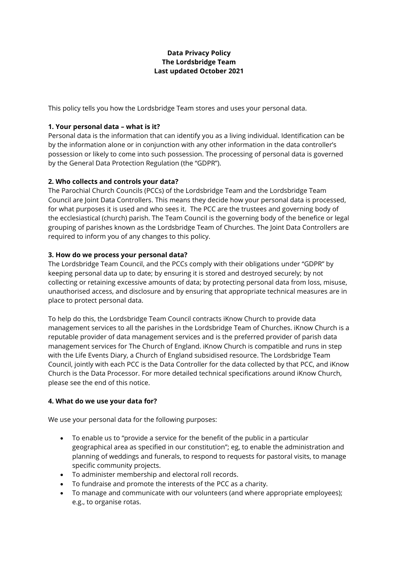# **Data Privacy Policy The Lordsbridge Team Last updated October 2021**

This policy tells you how the Lordsbridge Team stores and uses your personal data.

# **1. Your personal data – what is it?**

Personal data is the information that can identify you as a living individual. Identification can be by the information alone or in conjunction with any other information in the data controller's possession or likely to come into such possession. The processing of personal data is governed by the General Data Protection Regulation (the "GDPR").

# **2. Who collects and controls your data?**

The Parochial Church Councils (PCCs) of the Lordsbridge Team and the Lordsbridge Team Council are Joint Data Controllers. This means they decide how your personal data is processed, for what purposes it is used and who sees it. The PCC are the trustees and governing body of the ecclesiastical (church) parish. The Team Council is the governing body of the benefice or legal grouping of parishes known as the Lordsbridge Team of Churches. The Joint Data Controllers are required to inform you of any changes to this policy.

### **3. How do we process your personal data?**

The Lordsbridge Team Council, and the PCCs comply with their obligations under "GDPR" by keeping personal data up to date; by ensuring it is stored and destroyed securely; by not collecting or retaining excessive amounts of data; by protecting personal data from loss, misuse, unauthorised access, and disclosure and by ensuring that appropriate technical measures are in place to protect personal data.

To help do this, the Lordsbridge Team Council contracts iKnow Church to provide data management services to all the parishes in the Lordsbridge Team of Churches. iKnow Church is a reputable provider of data management services and is the preferred provider of parish data management services for The Church of England. iKnow Church is compatible and runs in step with the Life Events Diary, a Church of England subsidised resource. The Lordsbridge Team Council, jointly with each PCC is the Data Controller for the data collected by that PCC, and iKnow Church is the Data Processor. For more detailed technical specifications around iKnow Church, please see the end of this notice.

### **4. What do we use your data for?**

We use your personal data for the following purposes:

- To enable us to "provide a service for the benefit of the public in a particular geographical area as specified in our constitution"; eg, to enable the administration and planning of weddings and funerals, to respond to requests for pastoral visits, to manage specific community projects.
- To administer membership and electoral roll records.
- To fundraise and promote the interests of the PCC as a charity.
- To manage and communicate with our volunteers (and where appropriate employees); e.g., to organise rotas.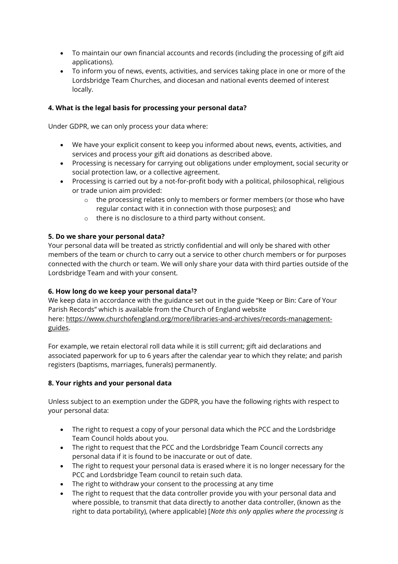- To maintain our own financial accounts and records (including the processing of gift aid applications).
- To inform you of news, events, activities, and services taking place in one or more of the Lordsbridge Team Churches, and diocesan and national events deemed of interest locally.

# **4. What is the legal basis for processing your personal data?**

Under GDPR, we can only process your data where:

- We have your explicit consent to keep you informed about news, events, activities, and services and process your gift aid donations as described above.
- Processing is necessary for carrying out obligations under employment, social security or social protection law, or a collective agreement.
- Processing is carried out by a not-for-profit body with a political, philosophical, religious or trade union aim provided:
	- $\circ$  the processing relates only to members or former members (or those who have regular contact with it in connection with those purposes); and
	- o there is no disclosure to a third party without consent.

#### **5. Do we share your personal data?**

Your personal data will be treated as strictly confidential and will only be shared with other members of the team or church to carry out a service to other church members or for purposes connected with the church or team. We will only share your data with third parties outside of the Lordsbridge Team and with your consent.

### **6. How long do we keep your personal data[1](http://lordsbridge.org/dataprivacynotice/#footnote)?**

We keep data in accordance with the guidance set out in the guide "Keep or Bin: Care of Your Parish Records" which is available from the Church of England website here: [https://www.churchofengland.org/more/libraries-and-archives/records-management](https://www.churchofengland.org/more/libraries-and-archives/records-management-guides)[guides.](https://www.churchofengland.org/more/libraries-and-archives/records-management-guides)

For example, we retain electoral roll data while it is still current; gift aid declarations and associated paperwork for up to 6 years after the calendar year to which they relate; and parish registers (baptisms, marriages, funerals) permanently.

### **8. Your rights and your personal data**

Unless subject to an exemption under the GDPR, you have the following rights with respect to your personal data:

- The right to request a copy of your personal data which the PCC and the Lordsbridge Team Council holds about you.
- The right to request that the PCC and the Lordsbridge Team Council corrects any personal data if it is found to be inaccurate or out of date.
- The right to request your personal data is erased where it is no longer necessary for the PCC and Lordsbridge Team council to retain such data.
- The right to withdraw your consent to the processing at any time
- The right to request that the data controller provide you with your personal data and where possible, to transmit that data directly to another data controller, (known as the right to data portability), (where applicable) [*Note this only applies where the processing is*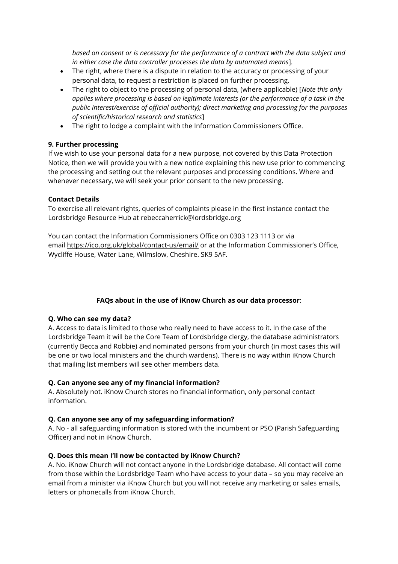*based on consent or is necessary for the performance of a contract with the data subject and in either case the data controller processes the data by automated means*].

- The right, where there is a dispute in relation to the accuracy or processing of your personal data, to request a restriction is placed on further processing.
- The right to object to the processing of personal data, (where applicable) [*Note this only applies where processing is based on legitimate interests (or the performance of a task in the public interest/exercise of official authority); direct marketing and processing for the purposes of scientific/historical research and statistics*]
- The right to lodge a complaint with the Information Commissioners Office.

### **9. Further processing**

If we wish to use your personal data for a new purpose, not covered by this Data Protection Notice, then we will provide you with a new notice explaining this new use prior to commencing the processing and setting out the relevant purposes and processing conditions. Where and whenever necessary, we will seek your prior consent to the new processing.

#### **Contact Details**

To exercise all relevant rights, queries of complaints please in the first instance contact the Lordsbridge Resource Hub at [rebeccaherrick@lordsbridge.org](mailto:rebeccaherrick@lordsbridge.org)

You can contact the Information Commissioners Office on 0303 123 1113 or via email <https://ico.org.uk/global/contact-us/email/> or at the Information Commissioner's Office, Wycliffe House, Water Lane, Wilmslow, Cheshire. SK9 5AF.

### **FAQs about in the use of iKnow Church as our data processor**:

### **Q. Who can see my data?**

A. Access to data is limited to those who really need to have access to it. In the case of the Lordsbridge Team it will be the Core Team of Lordsbridge clergy, the database administrators (currently Becca and Robbie) and nominated persons from your church (in most cases this will be one or two local ministers and the church wardens). There is no way within iKnow Church that mailing list members will see other members data.

### **Q. Can anyone see any of my financial information?**

A. Absolutely not. iKnow Church stores no financial information, only personal contact information.

### **Q. Can anyone see any of my safeguarding information?**

A. No - all safeguarding information is stored with the incumbent or PSO (Parish Safeguarding Officer) and not in iKnow Church.

### **Q. Does this mean I'll now be contacted by iKnow Church?**

A. No. iKnow Church will not contact anyone in the Lordsbridge database. All contact will come from those within the Lordsbridge Team who have access to your data – so you may receive an email from a minister via iKnow Church but you will not receive any marketing or sales emails, letters or phonecalls from iKnow Church.